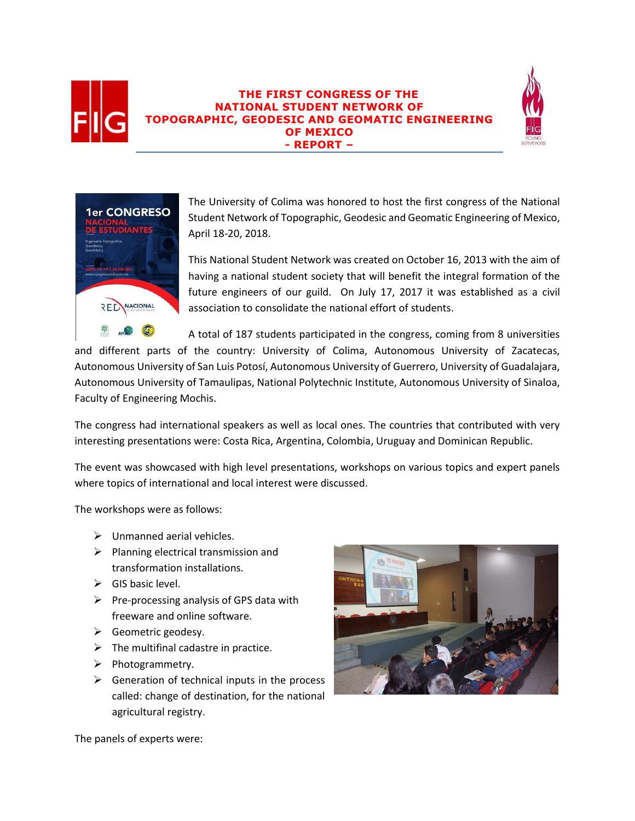

## **THE FIRST CONGRESS OF THE NATIONAL STUDENT NETWORK OF TOPOGRAPHIC, GEODESIC AND GEOMATIC ENGINEERING OF MEXICO - REPORT –**





The University of Colima was honored to host the first congress of the National Student Network of Topographic, Geodesic and Geomatic Engineering of Mexico, April 18-20, 2018.

This National Student Network was created on October 16, 2013 with the aim of having a national student society that will benefit the integral formation of the future engineers of our guild. On July 17, 2017 it was established as a civil association to consolidate the national effort of students.

A total of 187 students participated in the congress, coming from 8 universities

and different parts of the country: University of Colima, Autonomous University of Zacatecas, Autonomous University of San Luis Potosí, Autonomous University of Guerrero, University of Guadalajara, Autonomous University of Tamaulipas, National Polytechnic Institute, Autonomous University of Sinaloa, Faculty of Engineering Mochis.

The congress had international speakers as well as local ones. The countries that contributed with very interesting presentations were: Costa Rica, Argentina, Colombia, Uruguay and Dominican Republic.

The event was showcased with high level presentations, workshops on various topics and expert panels where topics of international and local interest were discussed.

The workshops were as follows:

- $\triangleright$  Unmanned aerial vehicles.
- $\triangleright$  Planning electrical transmission and transformation installations.
- $\triangleright$  GIS basic level.
- $\triangleright$  Pre-processing analysis of GPS data with freeware and online software.
- $\triangleright$  Geometric geodesy.
- $\triangleright$  The multifinal cadastre in practice.
- ➢ Photogrammetry.
- $\triangleright$  Generation of technical inputs in the process called: change of destination, for the national agricultural registry.



The panels of experts were: